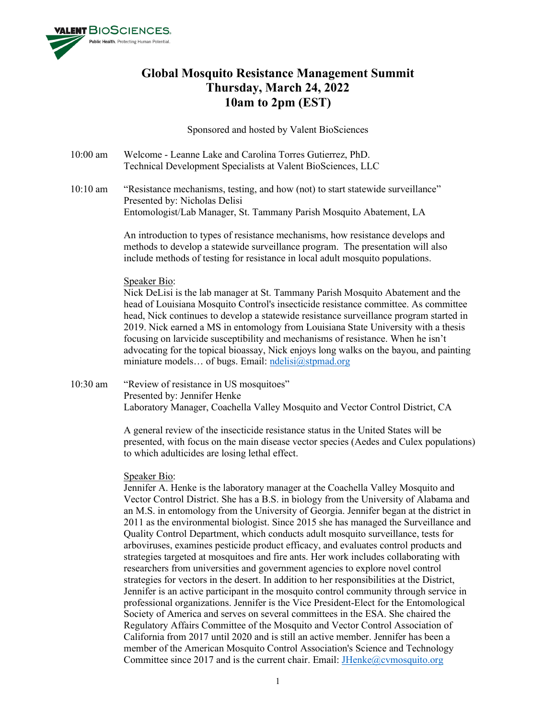

# **Global Mosquito Resistance Management Summit Thursday, March 24, 2022 10am to 2pm (EST)**

Sponsored and hosted by Valent BioSciences

- 10:00 am Welcome Leanne Lake and Carolina Torres Gutierrez, PhD. Technical Development Specialists at Valent BioSciences, LLC
- 10:10 am "Resistance mechanisms, testing, and how (not) to start statewide surveillance" Presented by: Nicholas Delisi Entomologist/Lab Manager, St. Tammany Parish Mosquito Abatement, LA

An introduction to types of resistance mechanisms, how resistance develops and methods to develop a statewide surveillance program. The presentation will also include methods of testing for resistance in local adult mosquito populations.

# Speaker Bio:

Nick DeLisi is the lab manager at St. Tammany Parish Mosquito Abatement and the head of Louisiana Mosquito Control's insecticide resistance committee. As committee head, Nick continues to develop a statewide resistance surveillance program started in 2019. Nick earned a MS in entomology from Louisiana State University with a thesis focusing on larvicide susceptibility and mechanisms of resistance. When he isn't advocating for the topical bioassay, Nick enjoys long walks on the bayou, and painting miniature models... of bugs. Email: [ndelisi@stpmad.org](mailto:ndelisi@stpmad.org)

10:30 am "Review of resistance in US mosquitoes" Presented by: Jennifer Henke Laboratory Manager, Coachella Valley Mosquito and Vector Control District, CA

> A general review of the insecticide resistance status in the United States will be presented, with focus on the main disease vector species (Aedes and Culex populations) to which adulticides are losing lethal effect.

# Speaker Bio:

Jennifer A. Henke is the laboratory manager at the Coachella Valley Mosquito and Vector Control District. She has a B.S. in biology from the University of Alabama and an M.S. in entomology from the University of Georgia. Jennifer began at the district in 2011 as the environmental biologist. Since 2015 she has managed the Surveillance and Quality Control Department, which conducts adult mosquito surveillance, tests for arboviruses, examines pesticide product efficacy, and evaluates control products and strategies targeted at mosquitoes and fire ants. Her work includes collaborating with researchers from universities and government agencies to explore novel control strategies for vectors in the desert. In addition to her responsibilities at the District, Jennifer is an active participant in the mosquito control community through service in professional organizations. Jennifer is the Vice President-Elect for the Entomological Society of America and serves on several committees in the ESA. She chaired the Regulatory Affairs Committee of the Mosquito and Vector Control Association of California from 2017 until 2020 and is still an active member. Jennifer has been a member of the American Mosquito Control Association's Science and Technology Committee since 2017 and is the current chair. Email: **JHenke@cvmosquito.org**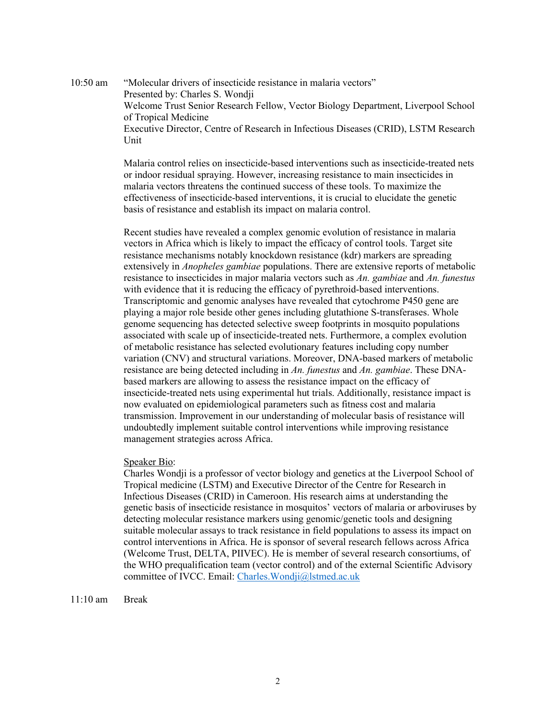10:50 am "Molecular drivers of insecticide resistance in malaria vectors" Presented by: Charles S. Wondji Welcome Trust Senior Research Fellow, Vector Biology Department, Liverpool School of Tropical Medicine Executive Director, Centre of Research in Infectious Diseases (CRID), LSTM Research Unit

> Malaria control relies on insecticide-based interventions such as insecticide-treated nets or indoor residual spraying. However, increasing resistance to main insecticides in malaria vectors threatens the continued success of these tools. To maximize the effectiveness of insecticide-based interventions, it is crucial to elucidate the genetic basis of resistance and establish its impact on malaria control.

> Recent studies have revealed a complex genomic evolution of resistance in malaria vectors in Africa which is likely to impact the efficacy of control tools. Target site resistance mechanisms notably knockdown resistance (kdr) markers are spreading extensively in *Anopheles gambiae* populations. There are extensive reports of metabolic resistance to insecticides in major malaria vectors such as *An. gambiae* and *An. funestus* with evidence that it is reducing the efficacy of pyrethroid-based interventions. Transcriptomic and genomic analyses have revealed that cytochrome P450 gene are playing a major role beside other genes including glutathione S-transferases. Whole genome sequencing has detected selective sweep footprints in mosquito populations associated with scale up of insecticide-treated nets. Furthermore, a complex evolution of metabolic resistance has selected evolutionary features including copy number variation (CNV) and structural variations. Moreover, DNA-based markers of metabolic resistance are being detected including in *An. funestus* and *An. gambiae*. These DNAbased markers are allowing to assess the resistance impact on the efficacy of insecticide-treated nets using experimental hut trials. Additionally, resistance impact is now evaluated on epidemiological parameters such as fitness cost and malaria transmission. Improvement in our understanding of molecular basis of resistance will undoubtedly implement suitable control interventions while improving resistance management strategies across Africa.

## Speaker Bio:

Charles Wondji is a professor of vector biology and genetics at the Liverpool School of Tropical medicine (LSTM) and Executive Director of the Centre for Research in Infectious Diseases (CRID) in Cameroon. His research aims at understanding the genetic basis of insecticide resistance in mosquitos' vectors of malaria or arboviruses by detecting molecular resistance markers using genomic/genetic tools and designing suitable molecular assays to track resistance in field populations to assess its impact on control interventions in Africa. He is sponsor of several research fellows across Africa (Welcome Trust, DELTA, PIIVEC). He is member of several research consortiums, of the WHO prequalification team (vector control) and of the external Scientific Advisory committee of IVCC. Email: [Charles.Wondji@lstmed.ac.uk](mailto:Charles.Wondji@lstmed.ac.uk)

11:10 am Break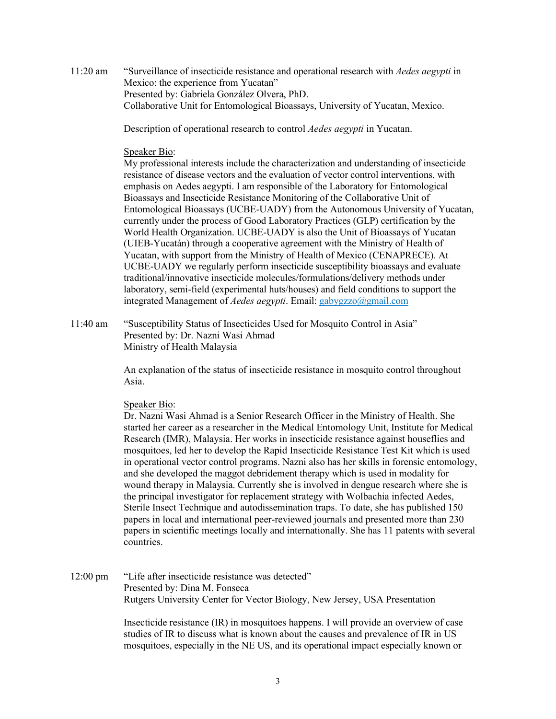11:20 am "Surveillance of insecticide resistance and operational research with *Aedes aegypti* in Mexico: the experience from Yucatan" Presented by: Gabriela González Olvera, PhD. Collaborative Unit for Entomological Bioassays, University of Yucatan, Mexico.

Description of operational research to control *Aedes aegypti* in Yucatan.

### Speaker Bio:

My professional interests include the characterization and understanding of insecticide resistance of disease vectors and the evaluation of vector control interventions, with emphasis on Aedes aegypti. I am responsible of the Laboratory for Entomological Bioassays and Insecticide Resistance Monitoring of the Collaborative Unit of Entomological Bioassays (UCBE-UADY) from the Autonomous University of Yucatan, currently under the process of Good Laboratory Practices (GLP) certification by the World Health Organization. UCBE-UADY is also the Unit of Bioassays of Yucatan (UIEB-Yucatán) through a cooperative agreement with the Ministry of Health of Yucatan, with support from the Ministry of Health of Mexico (CENAPRECE). At UCBE-UADY we regularly perform insecticide susceptibility bioassays and evaluate traditional/innovative insecticide molecules/formulations/delivery methods under laboratory, semi-field (experimental huts/houses) and field conditions to support the integrated Management of *Aedes aegypti*. Email: gabygzzo@gmail.com

11:40 am "Susceptibility Status of Insecticides Used for Mosquito Control in Asia" Presented by: Dr. Nazni Wasi Ahmad Ministry of Health Malaysia

> An explanation of the status of insecticide resistance in mosquito control throughout Asia.

#### Speaker Bio:

Dr. Nazni Wasi Ahmad is a Senior Research Officer in the Ministry of Health. She started her career as a researcher in the Medical Entomology Unit, Institute for Medical Research (IMR), Malaysia. Her works in insecticide resistance against houseflies and mosquitoes, led her to develop the Rapid Insecticide Resistance Test Kit which is used in operational vector control programs. Nazni also has her skills in forensic entomology, and she developed the maggot debridement therapy which is used in modality for wound therapy in Malaysia. Currently she is involved in dengue research where she is the principal investigator for replacement strategy with Wolbachia infected Aedes, Sterile Insect Technique and autodissemination traps. To date, she has published 150 papers in local and international peer-reviewed journals and presented more than 230 papers in scientific meetings locally and internationally. She has 11 patents with several countries.

12:00 pm "Life after insecticide resistance was detected" Presented by: Dina M. Fonseca Rutgers University Center for Vector Biology, New Jersey, USA Presentation

> Insecticide resistance (IR) in mosquitoes happens. I will provide an overview of case studies of IR to discuss what is known about the causes and prevalence of IR in US mosquitoes, especially in the NE US, and its operational impact especially known or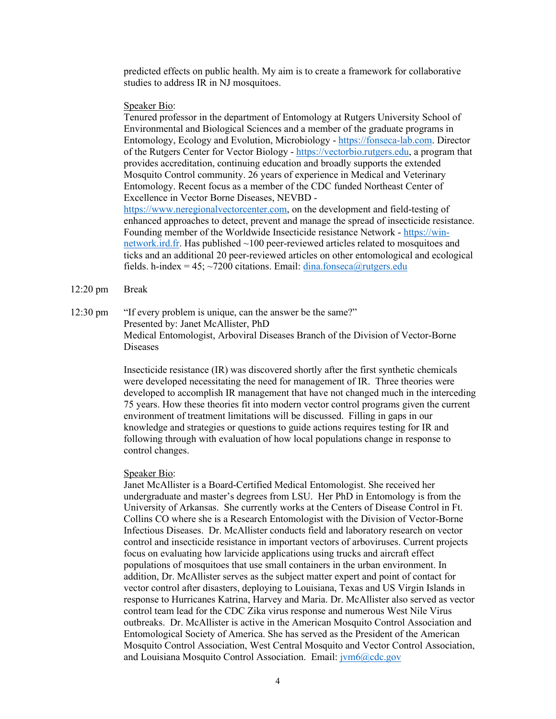predicted effects on public health. My aim is to create a framework for collaborative studies to address IR in NJ mosquitoes.

#### Speaker Bio:

Tenured professor in the department of Entomology at Rutgers University School of Environmental and Biological Sciences and a member of the graduate programs in Entomology, Ecology and Evolution, Microbiology - [https://fonseca-lab.com.](https://urldefense.com/v3/__https:/fonseca-lab.com/__;!!BljAD5N0OmfQxSE!sb4wBMbhEDh3cdvvOr-RLoghvkN3uRU3mB4uwphJ3t2kAKnY-HbnU5g31KnhZqURT2zF8TSe$) Director of the Rutgers Center for Vector Biology - [https://vectorbio.rutgers.edu,](https://urldefense.com/v3/__https:/vectorbio.rutgers.edu/__;!!BljAD5N0OmfQxSE!sb4wBMbhEDh3cdvvOr-RLoghvkN3uRU3mB4uwphJ3t2kAKnY-HbnU5g31KnhZqURT6UfggJZ$) a program that provides accreditation, continuing education and broadly supports the extended Mosquito Control community. 26 years of experience in Medical and Veterinary Entomology. Recent focus as a member of the CDC funded Northeast Center of Excellence in Vector Borne Diseases, NEVBD [https://www.neregionalvectorcenter.com,](https://urldefense.com/v3/__https:/www.neregionalvectorcenter.com/__;!!BljAD5N0OmfQxSE!sb4wBMbhEDh3cdvvOr-RLoghvkN3uRU3mB4uwphJ3t2kAKnY-HbnU5g31KnhZqURT7HMcP37$) on the development and field-testing of enhanced approaches to detect, prevent and manage the spread of insecticide resistance. Founding member of the Worldwide Insecticide resistance Network - [https://win-](https://urldefense.com/v3/__https:/win-network.ird.fr/__;!!BljAD5N0OmfQxSE!sb4wBMbhEDh3cdvvOr-RLoghvkN3uRU3mB4uwphJ3t2kAKnY-HbnU5g31KnhZqURT2pIgVcN$)

[network.ird.fr.](https://urldefense.com/v3/__https:/win-network.ird.fr/__;!!BljAD5N0OmfQxSE!sb4wBMbhEDh3cdvvOr-RLoghvkN3uRU3mB4uwphJ3t2kAKnY-HbnU5g31KnhZqURT2pIgVcN$) Has published ~100 peer-reviewed articles related to mosquitoes and ticks and an additional 20 peer-reviewed articles on other entomological and ecological fields. h-index = 45;  $\sim$ 7200 citations. Email: [dina.fonseca@rutgers.edu](mailto:dina.fonseca@rutgers.edu)

- 12:20 pm Break
- 12:30 pm "If every problem is unique, can the answer be the same?" Presented by: Janet McAllister, PhD Medical Entomologist, Arboviral Diseases Branch of the Division of Vector-Borne Diseases

Insecticide resistance (IR) was discovered shortly after the first synthetic chemicals were developed necessitating the need for management of IR. Three theories were developed to accomplish IR management that have not changed much in the interceding 75 years. How these theories fit into modern vector control programs given the current environment of treatment limitations will be discussed. Filling in gaps in our knowledge and strategies or questions to guide actions requires testing for IR and following through with evaluation of how local populations change in response to control changes.

#### Speaker Bio:

Janet McAllister is a Board-Certified Medical Entomologist. She received her undergraduate and master's degrees from LSU. Her PhD in Entomology is from the University of Arkansas. She currently works at the Centers of Disease Control in Ft. Collins CO where she is a Research Entomologist with the Division of Vector-Borne Infectious Diseases. Dr. McAllister conducts field and laboratory research on vector control and insecticide resistance in important vectors of arboviruses. Current projects focus on evaluating how larvicide applications using trucks and aircraft effect populations of mosquitoes that use small containers in the urban environment. In addition, Dr. McAllister serves as the subject matter expert and point of contact for vector control after disasters, deploying to Louisiana, Texas and US Virgin Islands in response to Hurricanes Katrina, Harvey and Maria. Dr. McAllister also served as vector control team lead for the CDC Zika virus response and numerous West Nile Virus outbreaks. Dr. McAllister is active in the American Mosquito Control Association and Entomological Society of America. She has served as the President of the American Mosquito Control Association, West Central Mosquito and Vector Control Association, and Louisiana Mosquito Control Association. Email:  $\frac{\partial \phi}{\partial x}$  Equals 2000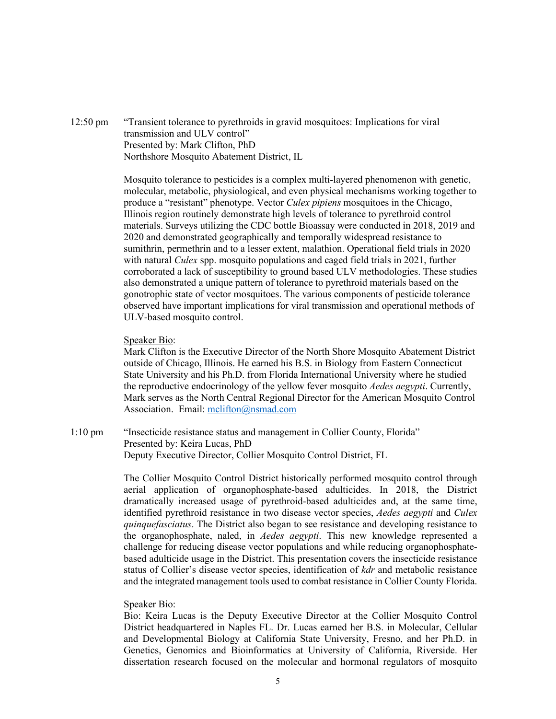12:50 pm "Transient tolerance to pyrethroids in gravid mosquitoes: Implications for viral transmission and ULV control" Presented by: Mark Clifton, PhD Northshore Mosquito Abatement District, IL

> Mosquito tolerance to pesticides is a complex multi-layered phenomenon with genetic, molecular, metabolic, physiological, and even physical mechanisms working together to produce a "resistant" phenotype. Vector *Culex pipiens* mosquitoes in the Chicago, Illinois region routinely demonstrate high levels of tolerance to pyrethroid control materials. Surveys utilizing the CDC bottle Bioassay were conducted in 2018, 2019 and 2020 and demonstrated geographically and temporally widespread resistance to sumithrin, permethrin and to a lesser extent, malathion. Operational field trials in 2020 with natural *Culex* spp. mosquito populations and caged field trials in 2021, further corroborated a lack of susceptibility to ground based ULV methodologies. These studies also demonstrated a unique pattern of tolerance to pyrethroid materials based on the gonotrophic state of vector mosquitoes. The various components of pesticide tolerance observed have important implications for viral transmission and operational methods of ULV-based mosquito control.

# Speaker Bio:

Mark Clifton is the Executive Director of the North Shore Mosquito Abatement District outside of Chicago, Illinois. He earned his B.S. in Biology from Eastern Connecticut State University and his Ph.D. from Florida International University where he studied the reproductive endocrinology of the yellow fever mosquito *Aedes aegypti*. Currently, Mark serves as the North Central Regional Director for the American Mosquito Control Association. Email: [mclifton@nsmad.com](mailto:mclifton@nsmad.com)

1:10 pm "Insecticide resistance status and management in Collier County, Florida" Presented by: Keira Lucas, PhD Deputy Executive Director, Collier Mosquito Control District, FL

> The Collier Mosquito Control District historically performed mosquito control through aerial application of organophosphate-based adulticides. In 2018, the District dramatically increased usage of pyrethroid-based adulticides and, at the same time, identified pyrethroid resistance in two disease vector species, *Aedes aegypti* and *Culex quinquefasciatus*. The District also began to see resistance and developing resistance to the organophosphate, naled, in *Aedes aegypti*. This new knowledge represented a challenge for reducing disease vector populations and while reducing organophosphatebased adulticide usage in the District. This presentation covers the insecticide resistance status of Collier's disease vector species, identification of *kdr* and metabolic resistance and the integrated management tools used to combat resistance in Collier County Florida.

## Speaker Bio:

Bio: Keira Lucas is the Deputy Executive Director at the Collier Mosquito Control District headquartered in Naples FL. Dr. Lucas earned her B.S. in Molecular, Cellular and Developmental Biology at California State University, Fresno, and her Ph.D. in Genetics, Genomics and Bioinformatics at University of California, Riverside. Her dissertation research focused on the molecular and hormonal regulators of mosquito